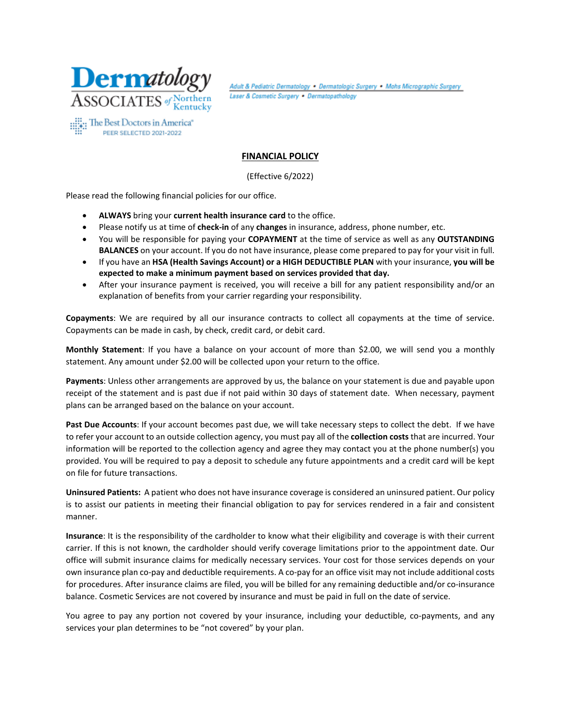

The Best Doctors in America®<br>PEER SELECTED 2021-2022

Adult & Pediatric Dermatology . Dermatologic Surgery . Mohs Micrographic Surgery Laser & Cosmetic Surgery . Dermatopathology

## **FINANCIAL POLICY**

(Effective 6/2022)

Please read the following financial policies for our office.

- **ALWAYS** bring your **current health insurance card** to the office.
- Please notify us at time of **check-in** of any **changes** in insurance, address, phone number, etc.
- You will be responsible for paying your **COPAYMENT** at the time of service as well as any **OUTSTANDING BALANCES** on your account. If you do not have insurance, please come prepared to pay for your visit in full.
- If you have an **HSA (Health Savings Account) or a HIGH DEDUCTIBLE PLAN** with your insurance, **you will be expected to make a minimum payment based on services provided that day.**
- After your insurance payment is received, you will receive a bill for any patient responsibility and/or an explanation of benefits from your carrier regarding your responsibility.

**Copayments**: We are required by all our insurance contracts to collect all copayments at the time of service. Copayments can be made in cash, by check, credit card, or debit card.

**Monthly Statement**: If you have a balance on your account of more than \$2.00, we will send you a monthly statement. Any amount under \$2.00 will be collected upon your return to the office.

**Payments**: Unless other arrangements are approved by us, the balance on your statement is due and payable upon receipt of the statement and is past due if not paid within 30 days of statement date. When necessary, payment plans can be arranged based on the balance on your account.

**Past Due Accounts**: If your account becomes past due, we will take necessary steps to collect the debt. If we have to refer your account to an outside collection agency, you must pay all of the **collection costs** that are incurred. Your information will be reported to the collection agency and agree they may contact you at the phone number(s) you provided. You will be required to pay a deposit to schedule any future appointments and a credit card will be kept on file for future transactions.

**Uninsured Patients:** A patient who does not have insurance coverage is considered an uninsured patient. Our policy is to assist our patients in meeting their financial obligation to pay for services rendered in a fair and consistent manner.

**Insurance**: It is the responsibility of the cardholder to know what their eligibility and coverage is with their current carrier. If this is not known, the cardholder should verify coverage limitations prior to the appointment date. Our office will submit insurance claims for medically necessary services. Your cost for those services depends on your own insurance plan co-pay and deductible requirements. A co-pay for an office visit may not include additional costs for procedures. After insurance claims are filed, you will be billed for any remaining deductible and/or co-insurance balance. Cosmetic Services are not covered by insurance and must be paid in full on the date of service.

You agree to pay any portion not covered by your insurance, including your deductible, co-payments, and any services your plan determines to be "not covered" by your plan.